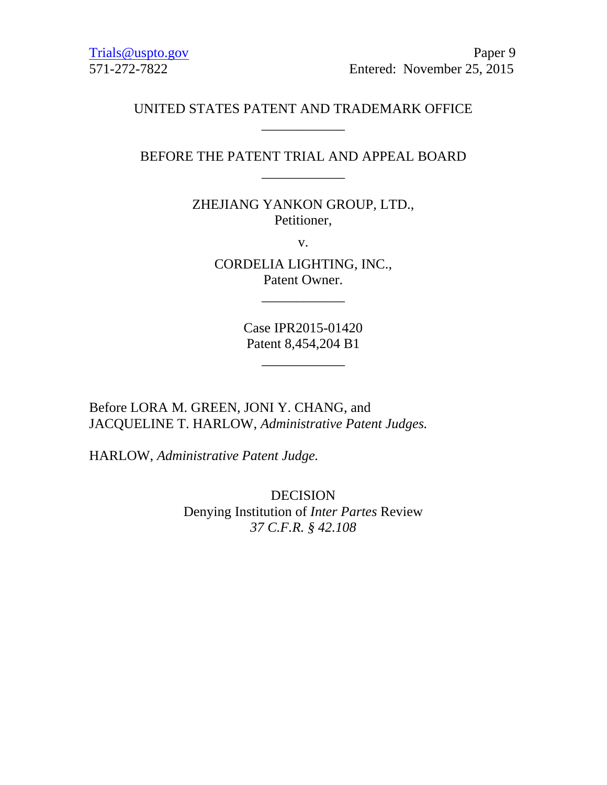Trials @uspto.gov Paper 9 571-272-7822 Entered: November 25, 2015

# UNITED STATES PATENT AND TRADEMARK OFFICE \_\_\_\_\_\_\_\_\_\_\_\_

# BEFORE THE PATENT TRIAL AND APPEAL BOARD \_\_\_\_\_\_\_\_\_\_\_\_

ZHEJIANG YANKON GROUP, LTD., Petitioner,

v.

CORDELIA LIGHTING, INC., Patent Owner.

\_\_\_\_\_\_\_\_\_\_\_\_

Case IPR2015-01420 Patent 8,454,204 B1

\_\_\_\_\_\_\_\_\_\_\_\_

Before LORA M. GREEN, JONI Y. CHANG, and JACQUELINE T. HARLOW, *Administrative Patent Judges.* 

HARLOW, *Administrative Patent Judge.*

DECISION Denying Institution of *Inter Partes* Review *37 C.F.R. § 42.108*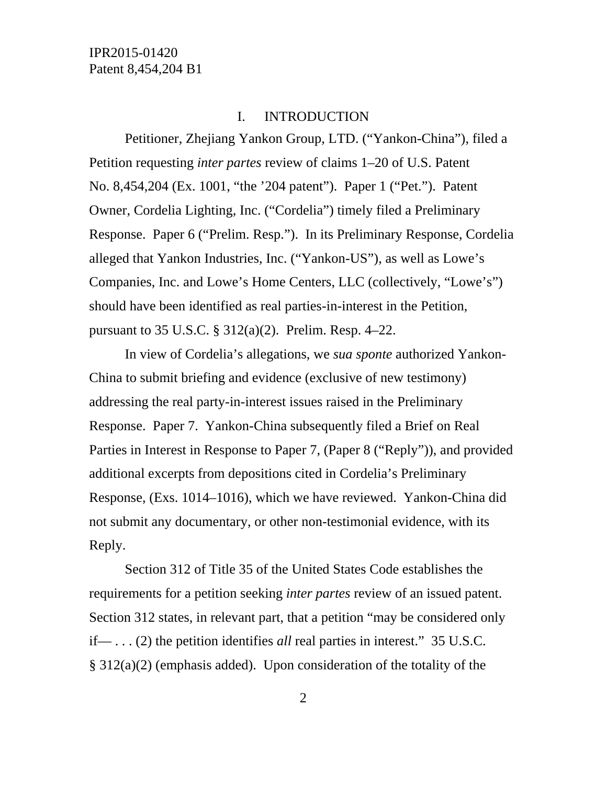### I. INTRODUCTION

Petitioner, Zhejiang Yankon Group, LTD. ("Yankon-China"), filed a Petition requesting *inter partes* review of claims 1–20 of U.S. Patent No. 8,454,204 (Ex. 1001, "the '204 patent"). Paper 1 ("Pet."). Patent Owner, Cordelia Lighting, Inc. ("Cordelia") timely filed a Preliminary Response. Paper 6 ("Prelim. Resp."). In its Preliminary Response, Cordelia alleged that Yankon Industries, Inc. ("Yankon-US"), as well as Lowe's Companies, Inc. and Lowe's Home Centers, LLC (collectively, "Lowe's") should have been identified as real parties-in-interest in the Petition, pursuant to 35 U.S.C. § 312(a)(2). Prelim. Resp. 4–22.

In view of Cordelia's allegations, we *sua sponte* authorized Yankon-China to submit briefing and evidence (exclusive of new testimony) addressing the real party-in-interest issues raised in the Preliminary Response. Paper 7. Yankon-China subsequently filed a Brief on Real Parties in Interest in Response to Paper 7, (Paper 8 ("Reply")), and provided additional excerpts from depositions cited in Cordelia's Preliminary Response, (Exs. 1014–1016), which we have reviewed. Yankon-China did not submit any documentary, or other non-testimonial evidence, with its Reply.

Section 312 of Title 35 of the United States Code establishes the requirements for a petition seeking *inter partes* review of an issued patent. Section 312 states, in relevant part, that a petition "may be considered only if— . . . (2) the petition identifies *all* real parties in interest." 35 U.S.C. § 312(a)(2) (emphasis added). Upon consideration of the totality of the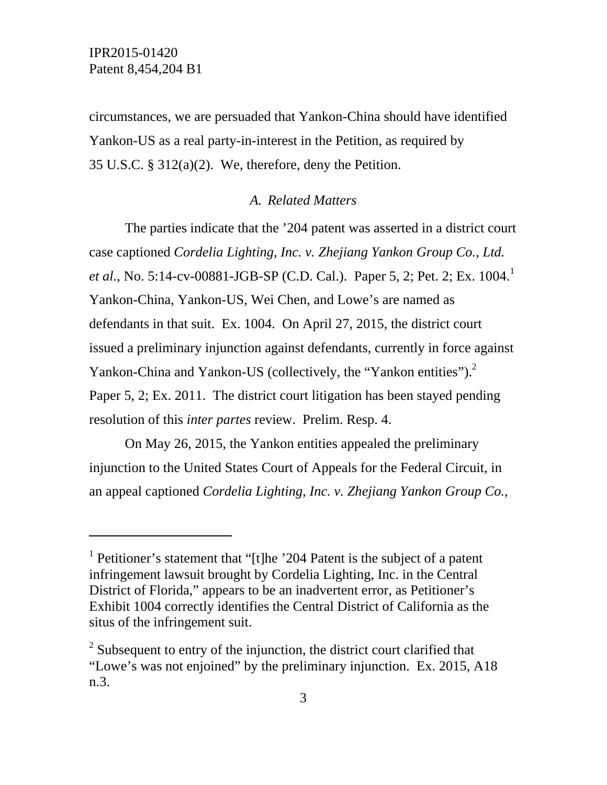-

circumstances, we are persuaded that Yankon-China should have identified Yankon-US as a real party-in-interest in the Petition, as required by 35 U.S.C. § 312(a)(2). We, therefore, deny the Petition.

# *A. Related Matters*

The parties indicate that the '204 patent was asserted in a district court case captioned *Cordelia Lighting, Inc. v. Zhejiang Yankon Group Co., Ltd. et al.*, No. 5:14-cv-00881-JGB-SP (C.D. Cal.). Paper 5, 2; Pet. 2; Ex. 1004.<sup>1</sup> Yankon-China, Yankon-US, Wei Chen, and Lowe's are named as defendants in that suit. Ex. 1004. On April 27, 2015, the district court issued a preliminary injunction against defendants, currently in force against Yankon-China and Yankon-US (collectively, the "Yankon entities"). $2$ Paper 5, 2; Ex. 2011. The district court litigation has been stayed pending resolution of this *inter partes* review. Prelim. Resp. 4.

On May 26, 2015, the Yankon entities appealed the preliminary injunction to the United States Court of Appeals for the Federal Circuit, in an appeal captioned *Cordelia Lighting, Inc. v. Zhejiang Yankon Group Co.,* 

<sup>&</sup>lt;sup>1</sup> Petitioner's statement that "[t]he '204 Patent is the subject of a patent infringement lawsuit brought by Cordelia Lighting, Inc. in the Central District of Florida," appears to be an inadvertent error, as Petitioner's Exhibit 1004 correctly identifies the Central District of California as the situs of the infringement suit.

 $2^2$  Subsequent to entry of the injunction, the district court clarified that "Lowe's was not enjoined" by the preliminary injunction. Ex. 2015, A18 n.3.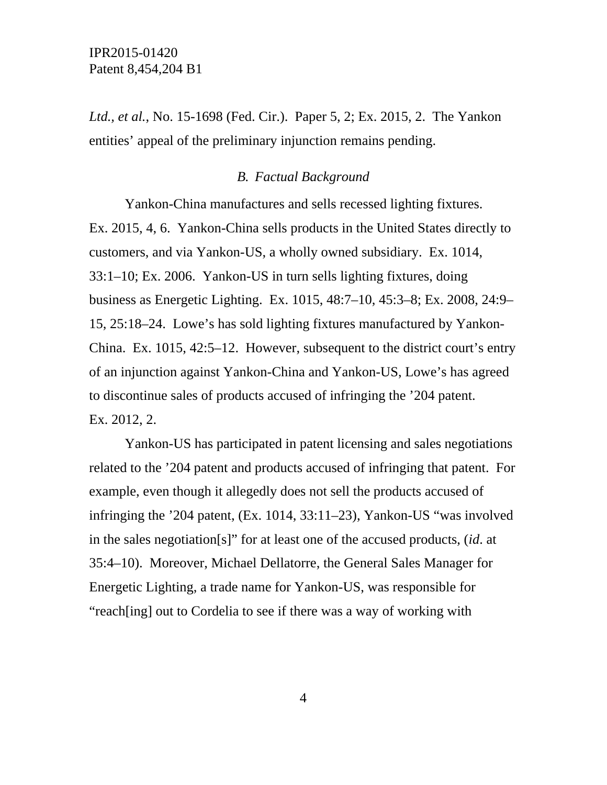*Ltd., et al.*, No. 15-1698 (Fed. Cir.). Paper 5, 2; Ex. 2015, 2. The Yankon entities' appeal of the preliminary injunction remains pending.

# *B. Factual Background*

Yankon-China manufactures and sells recessed lighting fixtures. Ex. 2015, 4, 6. Yankon-China sells products in the United States directly to customers, and via Yankon-US, a wholly owned subsidiary. Ex. 1014, 33:1–10; Ex. 2006. Yankon-US in turn sells lighting fixtures, doing business as Energetic Lighting. Ex. 1015, 48:7–10, 45:3–8; Ex. 2008, 24:9– 15, 25:18–24. Lowe's has sold lighting fixtures manufactured by Yankon-China. Ex. 1015, 42:5–12. However, subsequent to the district court's entry of an injunction against Yankon-China and Yankon-US, Lowe's has agreed to discontinue sales of products accused of infringing the '204 patent. Ex. 2012, 2.

Yankon-US has participated in patent licensing and sales negotiations related to the '204 patent and products accused of infringing that patent. For example, even though it allegedly does not sell the products accused of infringing the '204 patent, (Ex. 1014, 33:11–23), Yankon-US "was involved in the sales negotiation[s]" for at least one of the accused products, (*id*. at 35:4–10). Moreover, Michael Dellatorre, the General Sales Manager for Energetic Lighting, a trade name for Yankon-US, was responsible for "reach[ing] out to Cordelia to see if there was a way of working with

4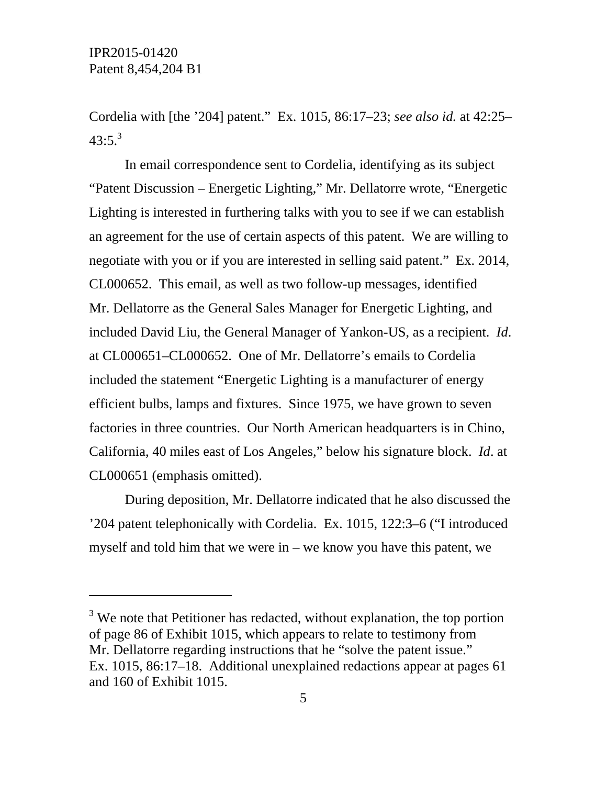-

Cordelia with [the '204] patent." Ex. 1015, 86:17–23; *see also id.* at 42:25–  $43:5.^3$ 

In email correspondence sent to Cordelia, identifying as its subject "Patent Discussion – Energetic Lighting," Mr. Dellatorre wrote, "Energetic Lighting is interested in furthering talks with you to see if we can establish an agreement for the use of certain aspects of this patent. We are willing to negotiate with you or if you are interested in selling said patent." Ex. 2014, CL000652. This email, as well as two follow-up messages, identified Mr. Dellatorre as the General Sales Manager for Energetic Lighting, and included David Liu, the General Manager of Yankon-US, as a recipient. *Id*. at CL000651–CL000652. One of Mr. Dellatorre's emails to Cordelia included the statement "Energetic Lighting is a manufacturer of energy efficient bulbs, lamps and fixtures. Since 1975, we have grown to seven factories in three countries. Our North American headquarters is in Chino, California, 40 miles east of Los Angeles," below his signature block. *Id*. at CL000651 (emphasis omitted).

During deposition, Mr. Dellatorre indicated that he also discussed the '204 patent telephonically with Cordelia. Ex. 1015, 122:3–6 ("I introduced myself and told him that we were in – we know you have this patent, we

 $3$  We note that Petitioner has redacted, without explanation, the top portion of page 86 of Exhibit 1015, which appears to relate to testimony from Mr. Dellatorre regarding instructions that he "solve the patent issue." Ex. 1015, 86:17–18. Additional unexplained redactions appear at pages 61 and 160 of Exhibit 1015.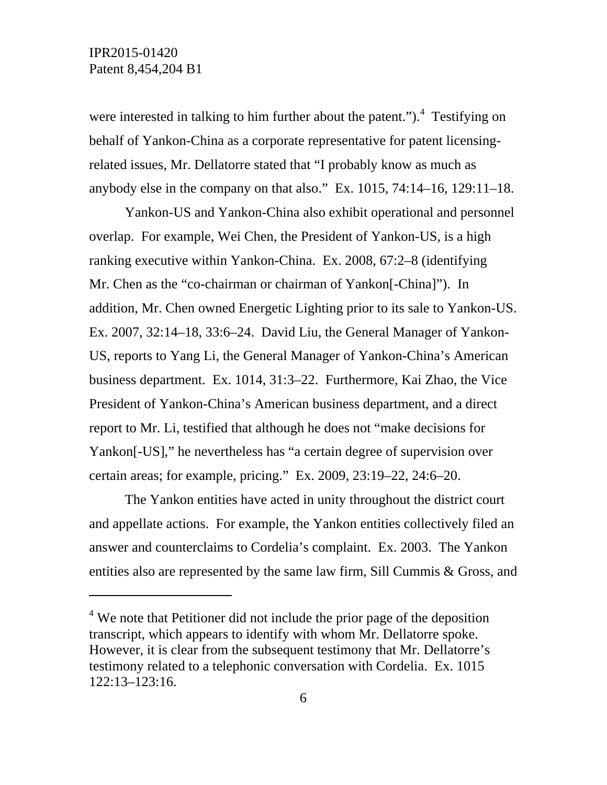-

were interested in talking to him further about the patent." $)$ .<sup>4</sup> Testifying on behalf of Yankon-China as a corporate representative for patent licensingrelated issues, Mr. Dellatorre stated that "I probably know as much as anybody else in the company on that also." Ex. 1015, 74:14–16, 129:11–18.

Yankon-US and Yankon-China also exhibit operational and personnel overlap. For example, Wei Chen, the President of Yankon-US, is a high ranking executive within Yankon-China. Ex. 2008, 67:2–8 (identifying Mr. Chen as the "co-chairman or chairman of Yankon[-China]"). In addition, Mr. Chen owned Energetic Lighting prior to its sale to Yankon-US. Ex. 2007, 32:14–18, 33:6–24. David Liu, the General Manager of Yankon-US, reports to Yang Li, the General Manager of Yankon-China's American business department. Ex. 1014, 31:3–22. Furthermore, Kai Zhao, the Vice President of Yankon-China's American business department, and a direct report to Mr. Li, testified that although he does not "make decisions for Yankon[-US]," he nevertheless has "a certain degree of supervision over certain areas; for example, pricing." Ex. 2009, 23:19–22, 24:6–20.

The Yankon entities have acted in unity throughout the district court and appellate actions. For example, the Yankon entities collectively filed an answer and counterclaims to Cordelia's complaint. Ex. 2003. The Yankon entities also are represented by the same law firm, Sill Cummis & Gross, and

 $4$  We note that Petitioner did not include the prior page of the deposition transcript, which appears to identify with whom Mr. Dellatorre spoke. However, it is clear from the subsequent testimony that Mr. Dellatorre's testimony related to a telephonic conversation with Cordelia. Ex. 1015 122:13–123:16.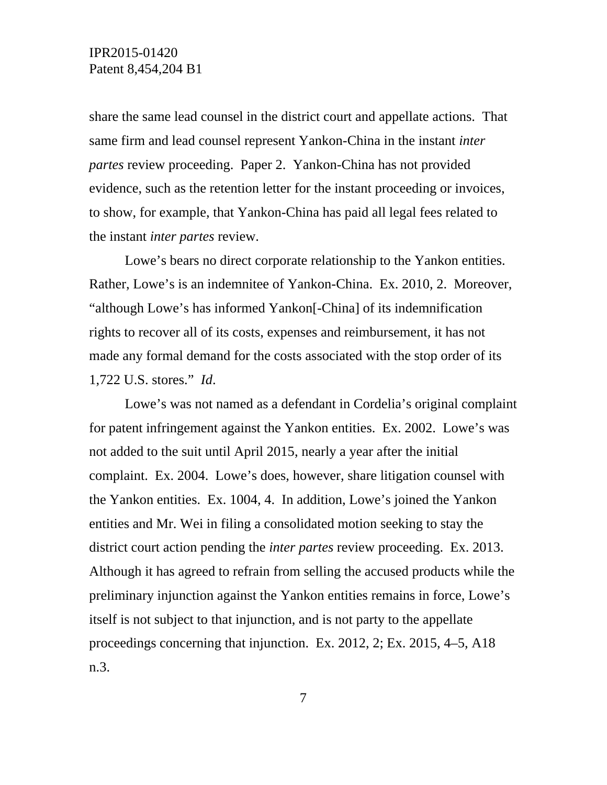share the same lead counsel in the district court and appellate actions. That same firm and lead counsel represent Yankon-China in the instant *inter partes* review proceeding. Paper 2. Yankon-China has not provided evidence, such as the retention letter for the instant proceeding or invoices, to show, for example, that Yankon-China has paid all legal fees related to the instant *inter partes* review.

Lowe's bears no direct corporate relationship to the Yankon entities. Rather, Lowe's is an indemnitee of Yankon-China. Ex. 2010, 2. Moreover, "although Lowe's has informed Yankon[-China] of its indemnification rights to recover all of its costs, expenses and reimbursement, it has not made any formal demand for the costs associated with the stop order of its 1,722 U.S. stores." *Id*.

Lowe's was not named as a defendant in Cordelia's original complaint for patent infringement against the Yankon entities. Ex. 2002. Lowe's was not added to the suit until April 2015, nearly a year after the initial complaint. Ex. 2004. Lowe's does, however, share litigation counsel with the Yankon entities. Ex. 1004, 4. In addition, Lowe's joined the Yankon entities and Mr. Wei in filing a consolidated motion seeking to stay the district court action pending the *inter partes* review proceeding. Ex. 2013. Although it has agreed to refrain from selling the accused products while the preliminary injunction against the Yankon entities remains in force, Lowe's itself is not subject to that injunction, and is not party to the appellate proceedings concerning that injunction. Ex. 2012, 2; Ex. 2015, 4–5, A18 n.3.

7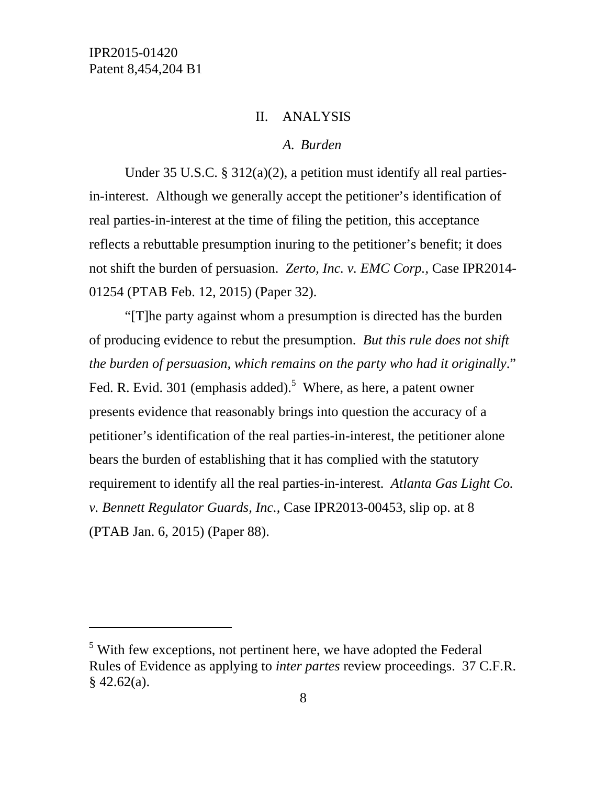l

## II. ANALYSIS

#### *A. Burden*

Under 35 U.S.C. § 312(a)(2), a petition must identify all real partiesin-interest. Although we generally accept the petitioner's identification of real parties-in-interest at the time of filing the petition, this acceptance reflects a rebuttable presumption inuring to the petitioner's benefit; it does not shift the burden of persuasion. *Zerto, Inc. v. EMC Corp.*, Case IPR2014- 01254 (PTAB Feb. 12, 2015) (Paper 32).

"[T]he party against whom a presumption is directed has the burden of producing evidence to rebut the presumption. *But this rule does not shift the burden of persuasion, which remains on the party who had it originally*." Fed. R. Evid. 301 (emphasis added).<sup>5</sup> Where, as here, a patent owner presents evidence that reasonably brings into question the accuracy of a petitioner's identification of the real parties-in-interest, the petitioner alone bears the burden of establishing that it has complied with the statutory requirement to identify all the real parties-in-interest. *Atlanta Gas Light Co. v. Bennett Regulator Guards, Inc.*, Case IPR2013-00453, slip op. at 8 (PTAB Jan. 6, 2015) (Paper 88).

<sup>&</sup>lt;sup>5</sup> With few exceptions, not pertinent here, we have adopted the Federal Rules of Evidence as applying to *inter partes* review proceedings. 37 C.F.R.  $§$  42.62(a).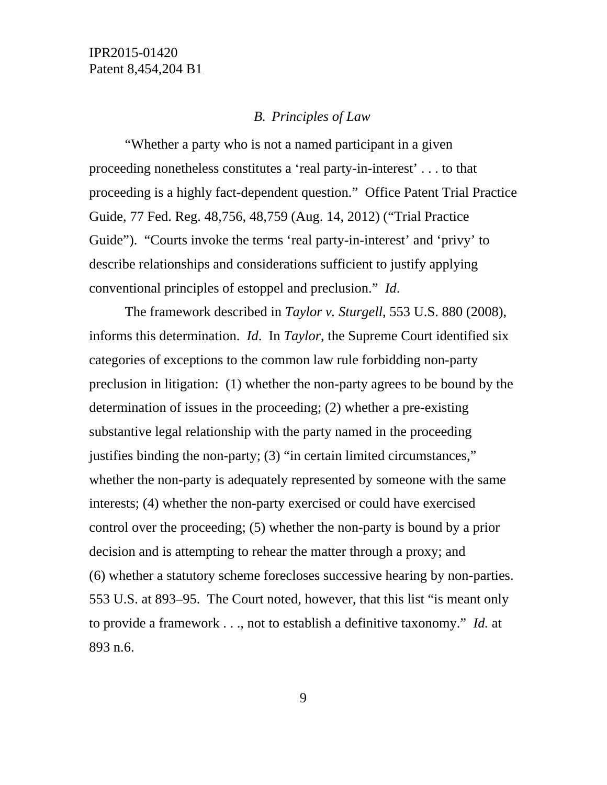## *B. Principles of Law*

"Whether a party who is not a named participant in a given proceeding nonetheless constitutes a 'real party-in-interest' . . . to that proceeding is a highly fact-dependent question." Office Patent Trial Practice Guide, 77 Fed. Reg. 48,756, 48,759 (Aug. 14, 2012) ("Trial Practice Guide"). "Courts invoke the terms 'real party-in-interest' and 'privy' to describe relationships and considerations sufficient to justify applying conventional principles of estoppel and preclusion." *Id*.

The framework described in *Taylor v. Sturgell*, 553 U.S. 880 (2008), informs this determination. *Id*. In *Taylor*, the Supreme Court identified six categories of exceptions to the common law rule forbidding non-party preclusion in litigation: (1) whether the non-party agrees to be bound by the determination of issues in the proceeding; (2) whether a pre-existing substantive legal relationship with the party named in the proceeding justifies binding the non-party; (3) "in certain limited circumstances," whether the non-party is adequately represented by someone with the same interests; (4) whether the non-party exercised or could have exercised control over the proceeding; (5) whether the non-party is bound by a prior decision and is attempting to rehear the matter through a proxy; and (6) whether a statutory scheme forecloses successive hearing by non-parties. 553 U.S. at 893–95. The Court noted, however, that this list "is meant only to provide a framework . . ., not to establish a definitive taxonomy." *Id.* at 893 n.6.

9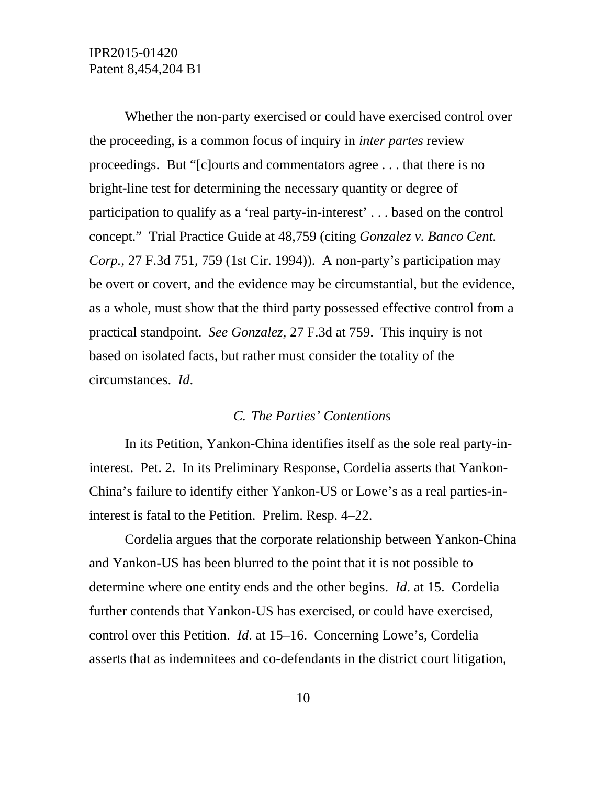Whether the non-party exercised or could have exercised control over the proceeding, is a common focus of inquiry in *inter partes* review proceedings. But "[c]ourts and commentators agree . . . that there is no bright-line test for determining the necessary quantity or degree of participation to qualify as a 'real party-in-interest' . . . based on the control concept." Trial Practice Guide at 48,759 (citing *Gonzalez v. Banco Cent. Corp.*, 27 F.3d 751, 759 (1st Cir. 1994)). A non-party's participation may be overt or covert, and the evidence may be circumstantial, but the evidence, as a whole, must show that the third party possessed effective control from a practical standpoint. *See Gonzalez*, 27 F.3d at 759. This inquiry is not based on isolated facts, but rather must consider the totality of the circumstances. *Id*.

### *C. The Parties' Contentions*

In its Petition, Yankon-China identifies itself as the sole real party-ininterest. Pet. 2. In its Preliminary Response, Cordelia asserts that Yankon-China's failure to identify either Yankon-US or Lowe's as a real parties-ininterest is fatal to the Petition. Prelim. Resp. 4–22.

Cordelia argues that the corporate relationship between Yankon-China and Yankon-US has been blurred to the point that it is not possible to determine where one entity ends and the other begins. *Id*. at 15. Cordelia further contends that Yankon-US has exercised, or could have exercised, control over this Petition. *Id*. at 15–16. Concerning Lowe's, Cordelia asserts that as indemnitees and co-defendants in the district court litigation,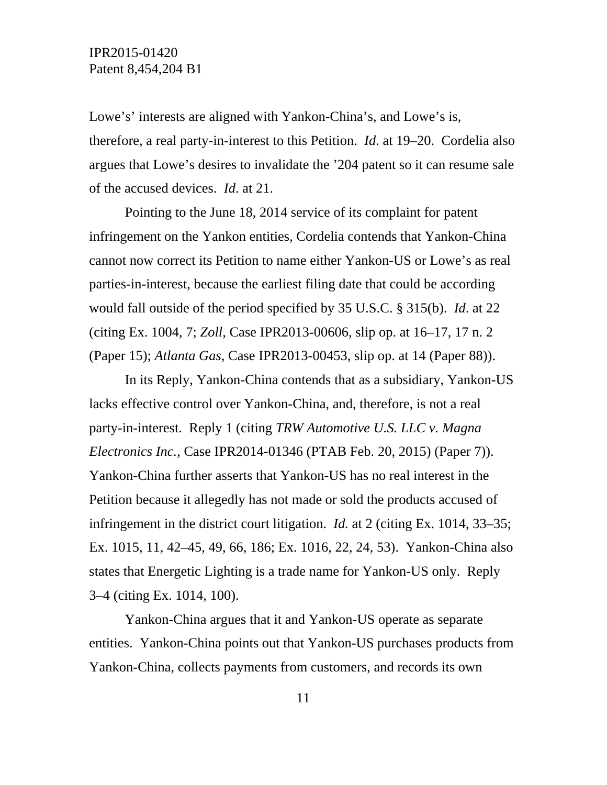Lowe's' interests are aligned with Yankon-China's, and Lowe's is, therefore, a real party-in-interest to this Petition. *Id*. at 19–20. Cordelia also argues that Lowe's desires to invalidate the '204 patent so it can resume sale of the accused devices. *Id*. at 21.

Pointing to the June 18, 2014 service of its complaint for patent infringement on the Yankon entities, Cordelia contends that Yankon-China cannot now correct its Petition to name either Yankon-US or Lowe's as real parties-in-interest, because the earliest filing date that could be according would fall outside of the period specified by 35 U.S.C. § 315(b). *Id*. at 22 (citing Ex. 1004, 7; *Zoll*, Case IPR2013-00606, slip op. at 16–17, 17 n. 2 (Paper 15); *Atlanta Gas*, Case IPR2013-00453, slip op. at 14 (Paper 88)).

In its Reply, Yankon-China contends that as a subsidiary, Yankon-US lacks effective control over Yankon-China, and, therefore, is not a real party-in-interest. Reply 1 (citing *TRW Automotive U.S. LLC v. Magna Electronics Inc.*, Case IPR2014-01346 (PTAB Feb. 20, 2015) (Paper 7)). Yankon-China further asserts that Yankon-US has no real interest in the Petition because it allegedly has not made or sold the products accused of infringement in the district court litigation. *Id.* at 2 (citing Ex. 1014, 33–35; Ex. 1015, 11, 42–45, 49, 66, 186; Ex. 1016, 22, 24, 53). Yankon-China also states that Energetic Lighting is a trade name for Yankon-US only. Reply 3–4 (citing Ex. 1014, 100).

Yankon-China argues that it and Yankon-US operate as separate entities. Yankon-China points out that Yankon-US purchases products from Yankon-China, collects payments from customers, and records its own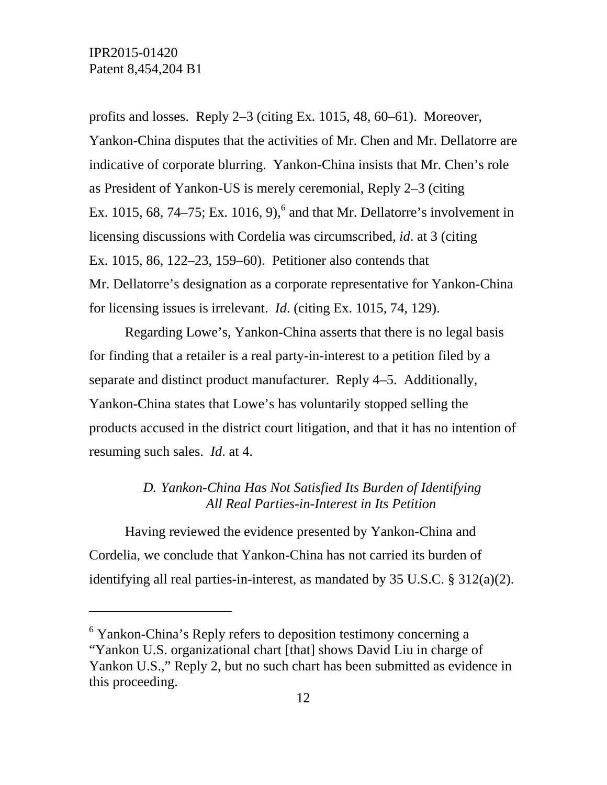$\overline{a}$ 

profits and losses. Reply 2–3 (citing Ex. 1015, 48, 60–61). Moreover, Yankon-China disputes that the activities of Mr. Chen and Mr. Dellatorre are indicative of corporate blurring. Yankon-China insists that Mr. Chen's role as President of Yankon-US is merely ceremonial, Reply 2–3 (citing Ex. 1015, 68, 74–75; Ex. 1016, 9),<sup>6</sup> and that Mr. Dellatorre's involvement in licensing discussions with Cordelia was circumscribed, *id*. at 3 (citing Ex. 1015, 86, 122–23, 159–60). Petitioner also contends that Mr. Dellatorre's designation as a corporate representative for Yankon-China for licensing issues is irrelevant. *Id*. (citing Ex. 1015, 74, 129).

Regarding Lowe's, Yankon-China asserts that there is no legal basis for finding that a retailer is a real party-in-interest to a petition filed by a separate and distinct product manufacturer. Reply 4–5. Additionally, Yankon-China states that Lowe's has voluntarily stopped selling the products accused in the district court litigation, and that it has no intention of resuming such sales. *Id*. at 4.

# *D. Yankon-China Has Not Satisfied Its Burden of Identifying All Real Parties-in-Interest in Its Petition*

Having reviewed the evidence presented by Yankon-China and Cordelia, we conclude that Yankon-China has not carried its burden of identifying all real parties-in-interest, as mandated by 35 U.S.C. § 312(a)(2).

<sup>&</sup>lt;sup>6</sup> Yankon-China's Reply refers to deposition testimony concerning a "Yankon U.S. organizational chart [that] shows David Liu in charge of Yankon U.S.," Reply 2, but no such chart has been submitted as evidence in this proceeding.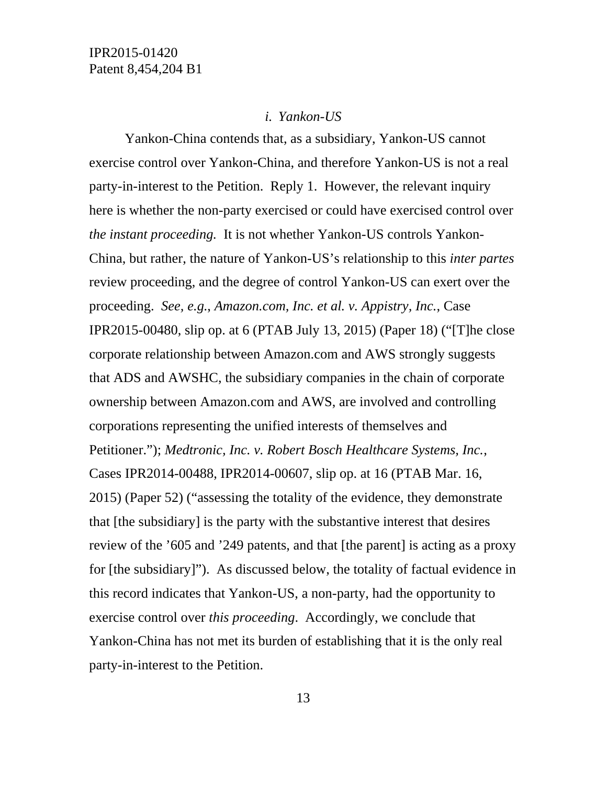### *i. Yankon-US*

Yankon-China contends that, as a subsidiary, Yankon-US cannot exercise control over Yankon-China, and therefore Yankon-US is not a real party-in-interest to the Petition. Reply 1. However, the relevant inquiry here is whether the non-party exercised or could have exercised control over *the instant proceeding.* It is not whether Yankon-US controls Yankon-China, but rather, the nature of Yankon-US's relationship to this *inter partes* review proceeding, and the degree of control Yankon-US can exert over the proceeding. *See, e.g.*, *Amazon.com, Inc. et al. v. Appistry, Inc.*, Case IPR2015-00480, slip op. at 6 (PTAB July 13, 2015) (Paper 18) ("[T]he close corporate relationship between Amazon.com and AWS strongly suggests that ADS and AWSHC, the subsidiary companies in the chain of corporate ownership between Amazon.com and AWS, are involved and controlling corporations representing the unified interests of themselves and Petitioner."); *Medtronic, Inc. v. Robert Bosch Healthcare Systems, Inc.*, Cases IPR2014-00488, IPR2014-00607, slip op. at 16 (PTAB Mar. 16, 2015) (Paper 52) ("assessing the totality of the evidence, they demonstrate that [the subsidiary] is the party with the substantive interest that desires review of the '605 and '249 patents, and that [the parent] is acting as a proxy for [the subsidiary]"). As discussed below, the totality of factual evidence in this record indicates that Yankon-US, a non-party, had the opportunity to exercise control over *this proceeding*. Accordingly, we conclude that Yankon-China has not met its burden of establishing that it is the only real party-in-interest to the Petition.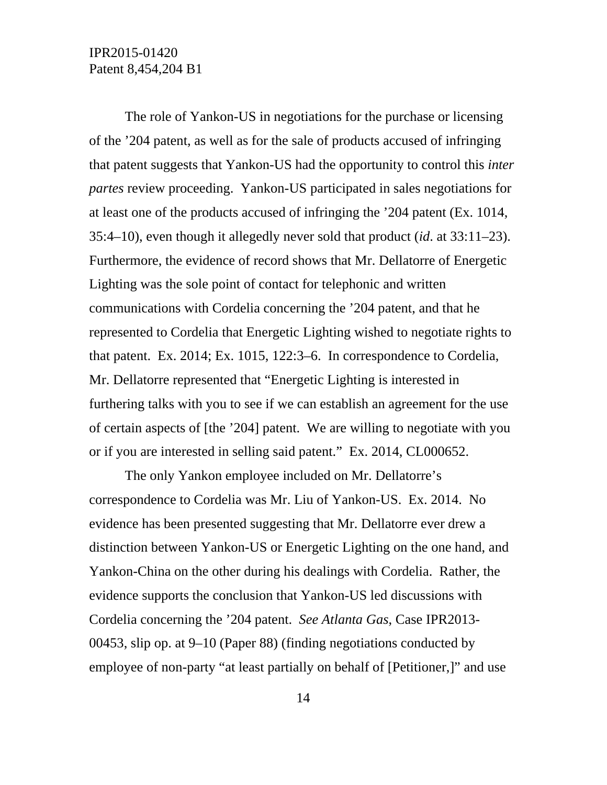The role of Yankon-US in negotiations for the purchase or licensing of the '204 patent, as well as for the sale of products accused of infringing that patent suggests that Yankon-US had the opportunity to control this *inter partes* review proceeding. Yankon-US participated in sales negotiations for at least one of the products accused of infringing the '204 patent (Ex. 1014, 35:4–10), even though it allegedly never sold that product (*id*. at 33:11–23). Furthermore, the evidence of record shows that Mr. Dellatorre of Energetic Lighting was the sole point of contact for telephonic and written communications with Cordelia concerning the '204 patent, and that he represented to Cordelia that Energetic Lighting wished to negotiate rights to that patent. Ex. 2014; Ex. 1015, 122:3–6. In correspondence to Cordelia, Mr. Dellatorre represented that "Energetic Lighting is interested in furthering talks with you to see if we can establish an agreement for the use of certain aspects of [the '204] patent. We are willing to negotiate with you or if you are interested in selling said patent." Ex. 2014, CL000652.

The only Yankon employee included on Mr. Dellatorre's correspondence to Cordelia was Mr. Liu of Yankon-US. Ex. 2014. No evidence has been presented suggesting that Mr. Dellatorre ever drew a distinction between Yankon-US or Energetic Lighting on the one hand, and Yankon-China on the other during his dealings with Cordelia. Rather, the evidence supports the conclusion that Yankon-US led discussions with Cordelia concerning the '204 patent. *See Atlanta Gas*, Case IPR2013- 00453, slip op. at 9–10 (Paper 88) (finding negotiations conducted by employee of non-party "at least partially on behalf of [Petitioner,]" and use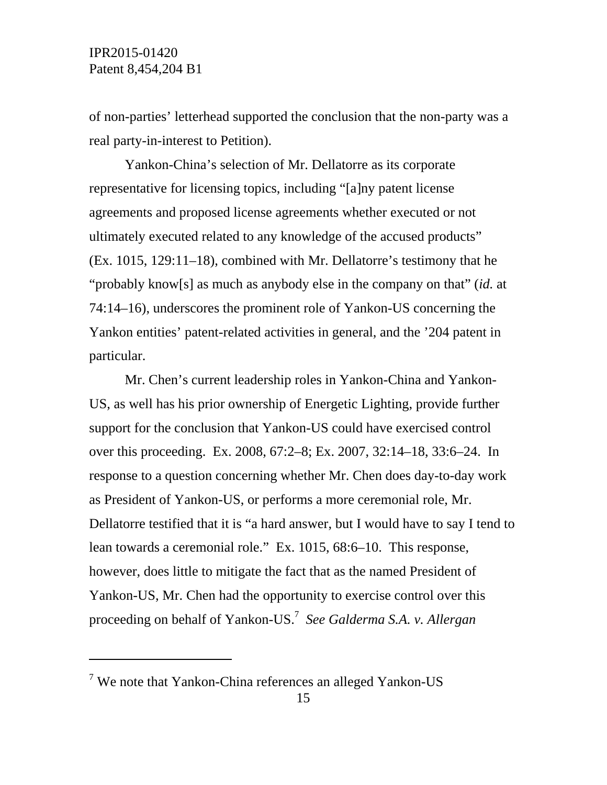$\overline{a}$ 

of non-parties' letterhead supported the conclusion that the non-party was a real party-in-interest to Petition).

Yankon-China's selection of Mr. Dellatorre as its corporate representative for licensing topics, including "[a]ny patent license agreements and proposed license agreements whether executed or not ultimately executed related to any knowledge of the accused products" (Ex. 1015, 129:11–18), combined with Mr. Dellatorre's testimony that he "probably know[s] as much as anybody else in the company on that" (*id.* at 74:14–16), underscores the prominent role of Yankon-US concerning the Yankon entities' patent-related activities in general, and the '204 patent in particular.

Mr. Chen's current leadership roles in Yankon-China and Yankon-US, as well has his prior ownership of Energetic Lighting, provide further support for the conclusion that Yankon-US could have exercised control over this proceeding. Ex. 2008, 67:2–8; Ex. 2007, 32:14–18, 33:6–24. In response to a question concerning whether Mr. Chen does day-to-day work as President of Yankon-US, or performs a more ceremonial role, Mr. Dellatorre testified that it is "a hard answer, but I would have to say I tend to lean towards a ceremonial role." Ex. 1015, 68:6–10. This response, however, does little to mitigate the fact that as the named President of Yankon-US, Mr. Chen had the opportunity to exercise control over this proceeding on behalf of Yankon-US.<sup>7</sup> *See Galderma S.A. v. Allergan* 

<sup>&</sup>lt;sup>7</sup> We note that Yankon-China references an alleged Yankon-US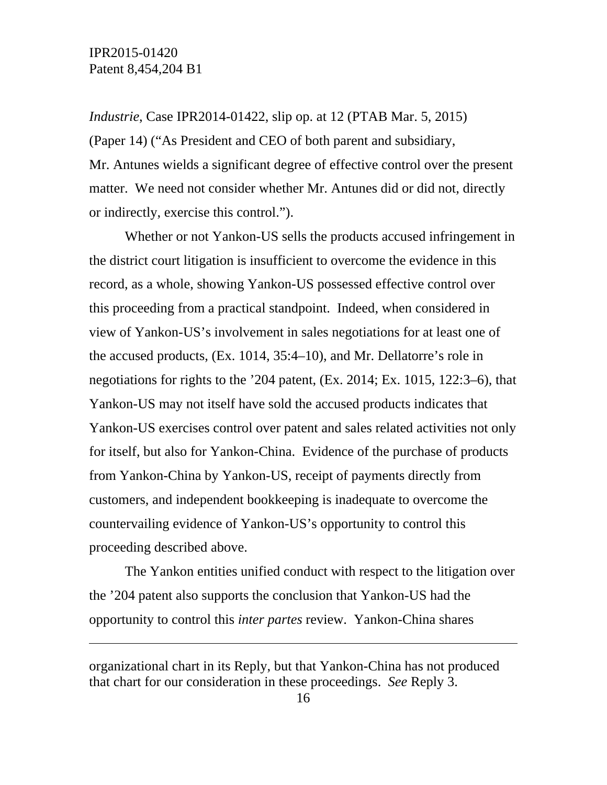$\overline{a}$ 

*Industrie*, Case IPR2014-01422, slip op. at 12 (PTAB Mar. 5, 2015) (Paper 14) ("As President and CEO of both parent and subsidiary, Mr. Antunes wields a significant degree of effective control over the present matter. We need not consider whether Mr. Antunes did or did not, directly or indirectly, exercise this control.").

Whether or not Yankon-US sells the products accused infringement in the district court litigation is insufficient to overcome the evidence in this record, as a whole, showing Yankon-US possessed effective control over this proceeding from a practical standpoint. Indeed, when considered in view of Yankon-US's involvement in sales negotiations for at least one of the accused products, (Ex. 1014, 35:4–10), and Mr. Dellatorre's role in negotiations for rights to the '204 patent, (Ex. 2014; Ex. 1015, 122:3–6), that Yankon-US may not itself have sold the accused products indicates that Yankon-US exercises control over patent and sales related activities not only for itself, but also for Yankon-China. Evidence of the purchase of products from Yankon-China by Yankon-US, receipt of payments directly from customers, and independent bookkeeping is inadequate to overcome the countervailing evidence of Yankon-US's opportunity to control this proceeding described above.

The Yankon entities unified conduct with respect to the litigation over the '204 patent also supports the conclusion that Yankon-US had the opportunity to control this *inter partes* review. Yankon-China shares

organizational chart in its Reply, but that Yankon-China has not produced that chart for our consideration in these proceedings. *See* Reply 3.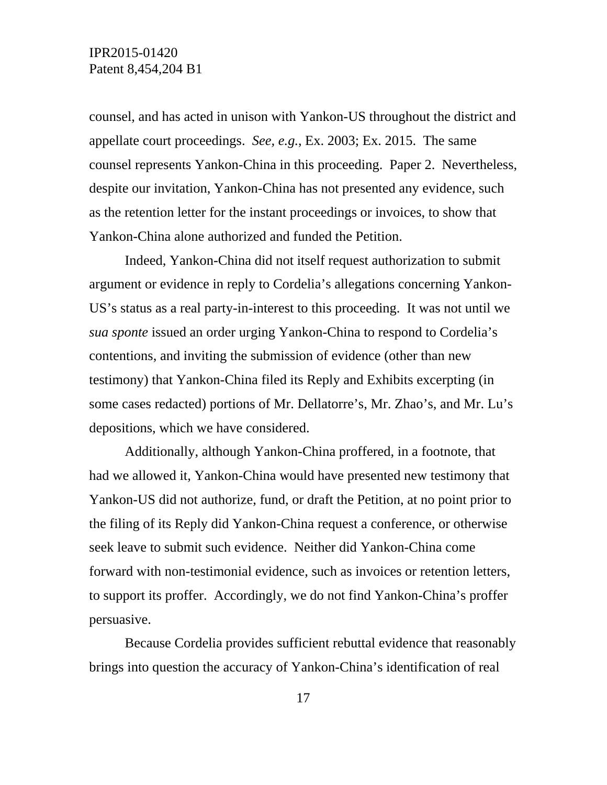counsel, and has acted in unison with Yankon-US throughout the district and appellate court proceedings. *See, e.g.*, Ex. 2003; Ex. 2015. The same counsel represents Yankon-China in this proceeding. Paper 2. Nevertheless, despite our invitation, Yankon-China has not presented any evidence, such as the retention letter for the instant proceedings or invoices, to show that Yankon-China alone authorized and funded the Petition.

Indeed, Yankon-China did not itself request authorization to submit argument or evidence in reply to Cordelia's allegations concerning Yankon-US's status as a real party-in-interest to this proceeding. It was not until we *sua sponte* issued an order urging Yankon-China to respond to Cordelia's contentions, and inviting the submission of evidence (other than new testimony) that Yankon-China filed its Reply and Exhibits excerpting (in some cases redacted) portions of Mr. Dellatorre's, Mr. Zhao's, and Mr. Lu's depositions, which we have considered.

Additionally, although Yankon-China proffered, in a footnote, that had we allowed it, Yankon-China would have presented new testimony that Yankon-US did not authorize, fund, or draft the Petition, at no point prior to the filing of its Reply did Yankon-China request a conference, or otherwise seek leave to submit such evidence. Neither did Yankon-China come forward with non-testimonial evidence, such as invoices or retention letters, to support its proffer. Accordingly, we do not find Yankon-China's proffer persuasive.

Because Cordelia provides sufficient rebuttal evidence that reasonably brings into question the accuracy of Yankon-China's identification of real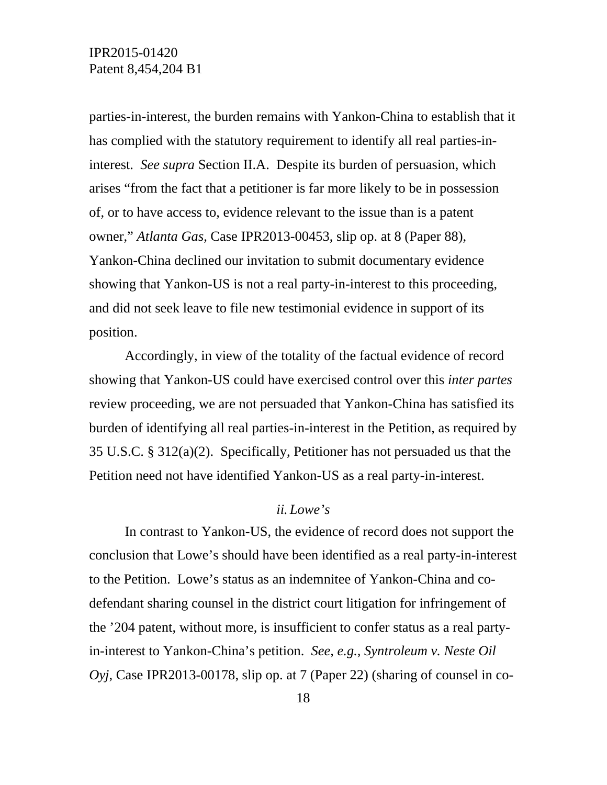parties-in-interest, the burden remains with Yankon-China to establish that it has complied with the statutory requirement to identify all real parties-ininterest. *See supra* Section II.A. Despite its burden of persuasion, which arises "from the fact that a petitioner is far more likely to be in possession of, or to have access to, evidence relevant to the issue than is a patent owner," *Atlanta Gas*, Case IPR2013-00453, slip op. at 8 (Paper 88), Yankon-China declined our invitation to submit documentary evidence showing that Yankon-US is not a real party-in-interest to this proceeding, and did not seek leave to file new testimonial evidence in support of its position.

Accordingly, in view of the totality of the factual evidence of record showing that Yankon-US could have exercised control over this *inter partes*  review proceeding, we are not persuaded that Yankon-China has satisfied its burden of identifying all real parties-in-interest in the Petition, as required by 35 U.S.C. § 312(a)(2). Specifically, Petitioner has not persuaded us that the Petition need not have identified Yankon-US as a real party-in-interest.

### *ii. Lowe's*

In contrast to Yankon-US, the evidence of record does not support the conclusion that Lowe's should have been identified as a real party-in-interest to the Petition. Lowe's status as an indemnitee of Yankon-China and codefendant sharing counsel in the district court litigation for infringement of the '204 patent, without more, is insufficient to confer status as a real partyin-interest to Yankon-China's petition. *See, e.g., Syntroleum v. Neste Oil Oyj*, Case IPR2013-00178, slip op. at 7 (Paper 22) (sharing of counsel in co-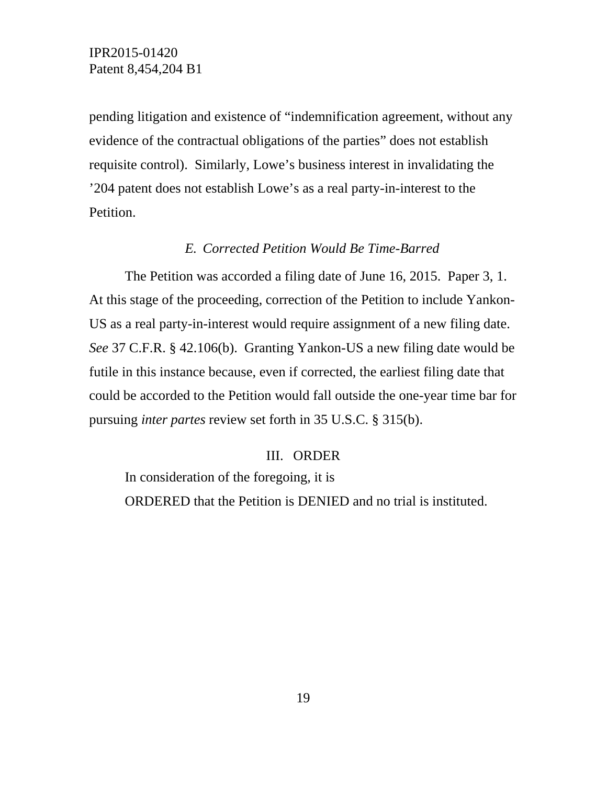pending litigation and existence of "indemnification agreement, without any evidence of the contractual obligations of the parties" does not establish requisite control). Similarly, Lowe's business interest in invalidating the '204 patent does not establish Lowe's as a real party-in-interest to the Petition.

## *E. Corrected Petition Would Be Time-Barred*

The Petition was accorded a filing date of June 16, 2015. Paper 3, 1. At this stage of the proceeding, correction of the Petition to include Yankon-US as a real party-in-interest would require assignment of a new filing date. *See* 37 C.F.R. § 42.106(b). Granting Yankon-US a new filing date would be futile in this instance because, even if corrected, the earliest filing date that could be accorded to the Petition would fall outside the one-year time bar for pursuing *inter partes* review set forth in 35 U.S.C. § 315(b).

### III. ORDER

In consideration of the foregoing, it is ORDERED that the Petition is DENIED and no trial is instituted.